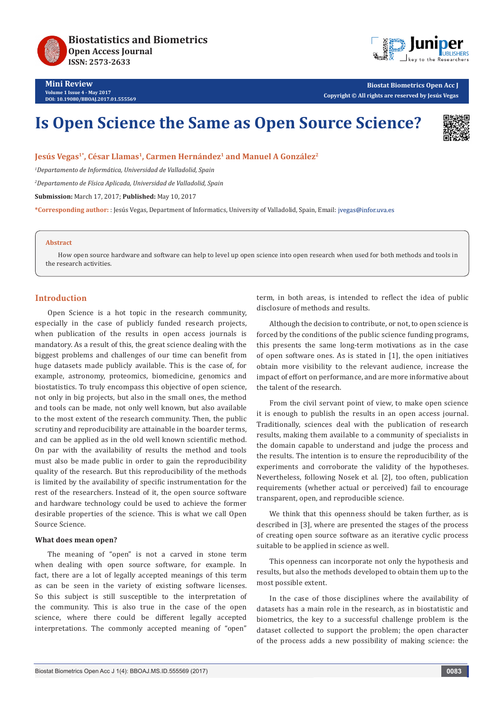

**Mini Review Volume 1 Issue 4 - May 2017 DOI: [10.19080/BBOAJ.2017.01.555569](http://dx.doi.org/10.19080/BBOAJ.2017.01.555569)**



**Biostat Biometrics Open Acc J Copyright © All rights are reserved by Jesús Vegas**

# **Is Open Science the Same as Open Source Science?**



**Jesús Vegas1\*, César Llamas1, Carmen Hernández1 and Manuel A González2**

*1 Departamento de Informática, Universidad de Valladolid, Spain*

*2 Departamento de Física Aplicada, Universidad de Valladolid, Spain*

**Submission:** March 17, 2017; **Published:** May 10, 2017

**\*Corresponding author:** : Jesús Vegas, Department of Informatics, University of Valladolid, Spain, Email:

#### **Abstract**

How open source hardware and software can help to level up open science into open research when used for both methods and tools in the research activities.

### **Introduction**

Open Science is a hot topic in the research community, especially in the case of publicly funded research projects, when publication of the results in open access journals is mandatory. As a result of this, the great science dealing with the biggest problems and challenges of our time can benefit from huge datasets made publicly available. This is the case of, for example, astronomy, proteomics, biomedicine, genomics and biostatistics. To truly encompass this objective of open science, not only in big projects, but also in the small ones, the method and tools can be made, not only well known, but also available to the most extent of the research community. Then, the public scrutiny and reproducibility are attainable in the boarder terms, and can be applied as in the old well known scientific method. On par with the availability of results the method and tools must also be made public in order to gain the reproducibility quality of the research. But this reproducibility of the methods is limited by the availability of specific instrumentation for the rest of the researchers. Instead of it, the open source software and hardware technology could be used to achieve the former desirable properties of the science. This is what we call Open Source Science.

#### **What does mean open?**

The meaning of "open" is not a carved in stone term when dealing with open source software, for example. In fact, there are a lot of legally accepted meanings of this term as can be seen in the variety of existing software licenses. So this subject is still susceptible to the interpretation of the community. This is also true in the case of the open science, where there could be different legally accepted interpretations. The commonly accepted meaning of "open"

term, in both areas, is intended to reflect the idea of public disclosure of methods and results.

Although the decision to contribute, or not, to open science is forced by the conditions of the public science funding programs, this presents the same long-term motivations as in the case of open software ones. As is stated in [1], the open initiatives obtain more visibility to the relevant audience, increase the impact of effort on performance, and are more informative about the talent of the research.

From the civil servant point of view, to make open science it is enough to publish the results in an open access journal. Traditionally, sciences deal with the publication of research results, making them available to a community of specialists in the domain capable to understand and judge the process and the results. The intention is to ensure the reproducibility of the experiments and corroborate the validity of the hypotheses. Nevertheless, following Nosek et al. [2], too often, publication requirements (whether actual or perceived) fail to encourage transparent, open, and reproducible science.

We think that this openness should be taken further, as is described in [3], where are presented the stages of the process of creating open source software as an iterative cyclic process suitable to be applied in science as well.

This openness can incorporate not only the hypothesis and results, but also the methods developed to obtain them up to the most possible extent.

In the case of those disciplines where the availability of datasets has a main role in the research, as in biostatistic and biometrics, the key to a successful challenge problem is the dataset collected to support the problem; the open character of the process adds a new possibility of making science: the